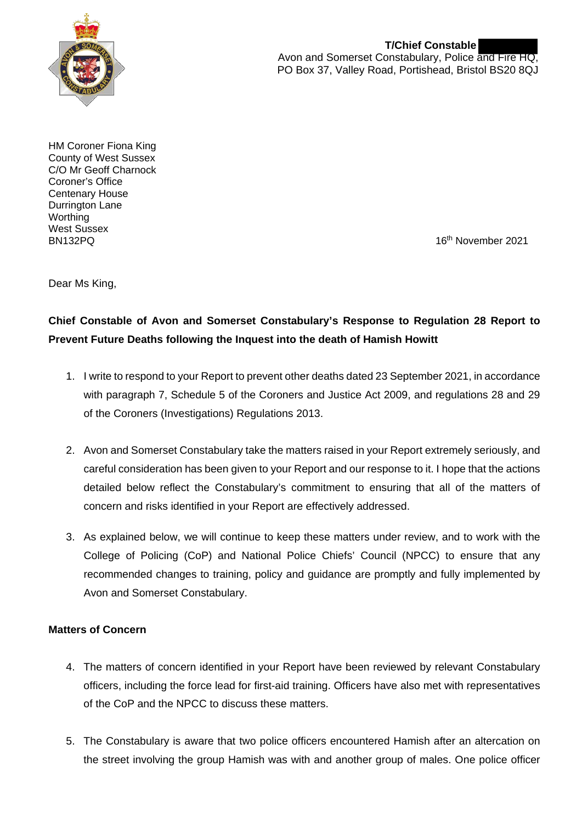

**T/Chief Constable**  Avon and Somerset Constabulary, Police and Fire HQ, PO Box 37, Valley Road, Portishead, Bristol BS20 8QJ

HM Coroner Fiona King County of West Sussex C/O Mr Geoff Charnock Coroner's Office Centenary House Durrington Lane **Worthing** West Sussex

16<sup>th</sup> November 2021

Dear Ms King,

## **Chief Constable of Avon and Somerset Constabulary's Response to Regulation 28 Report to Prevent Future Deaths following the Inquest into the death of Hamish Howitt**

- 1. I write to respond to your Report to prevent other deaths dated 23 September 2021, in accordance with paragraph 7, Schedule 5 of the Coroners and Justice Act 2009, and regulations 28 and 29 of the Coroners (Investigations) Regulations 2013.
- 2. Avon and Somerset Constabulary take the matters raised in your Report extremely seriously, and careful consideration has been given to your Report and our response to it. I hope that the actions detailed below reflect the Constabulary's commitment to ensuring that all of the matters of concern and risks identified in your Report are effectively addressed.
- 3. As explained below, we will continue to keep these matters under review, and to work with the College of Policing (CoP) and National Police Chiefs' Council (NPCC) to ensure that any recommended changes to training, policy and guidance are promptly and fully implemented by Avon and Somerset Constabulary.

### **Matters of Concern**

- 4. The matters of concern identified in your Report have been reviewed by relevant Constabulary officers, including the force lead for first-aid training. Officers have also met with representatives of the CoP and the NPCC to discuss these matters.
- 5. The Constabulary is aware that two police officers encountered Hamish after an altercation on the street involving the group Hamish was with and another group of males. One police officer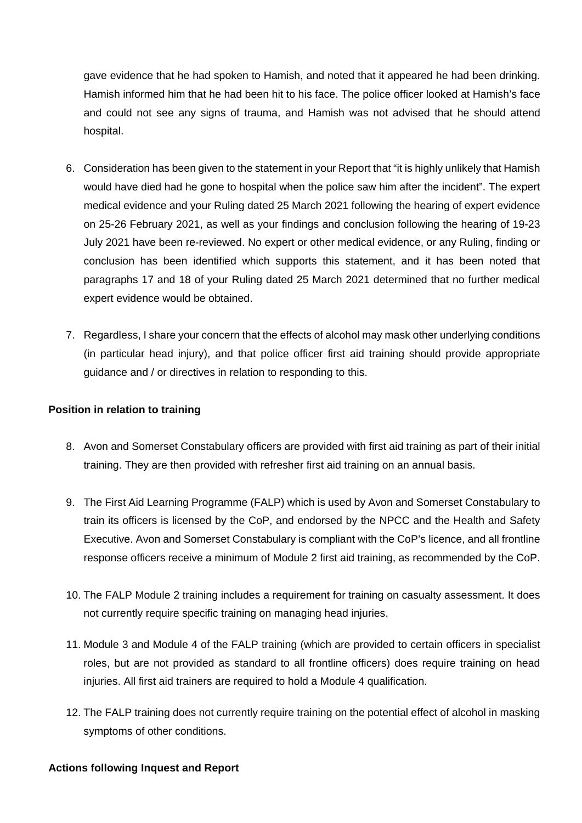gave evidence that he had spoken to Hamish, and noted that it appeared he had been drinking. Hamish informed him that he had been hit to his face. The police officer looked at Hamish's face and could not see any signs of trauma, and Hamish was not advised that he should attend hospital.

- 6. Consideration has been given to the statement in your Report that "it is highly unlikely that Hamish would have died had he gone to hospital when the police saw him after the incident". The expert medical evidence and your Ruling dated 25 March 2021 following the hearing of expert evidence on 25-26 February 2021, as well as your findings and conclusion following the hearing of 19-23 July 2021 have been re-reviewed. No expert or other medical evidence, or any Ruling, finding or conclusion has been identified which supports this statement, and it has been noted that paragraphs 17 and 18 of your Ruling dated 25 March 2021 determined that no further medical expert evidence would be obtained.
- 7. Regardless, I share your concern that the effects of alcohol may mask other underlying conditions (in particular head injury), and that police officer first aid training should provide appropriate guidance and / or directives in relation to responding to this.

#### **Position in relation to training**

- 8. Avon and Somerset Constabulary officers are provided with first aid training as part of their initial training. They are then provided with refresher first aid training on an annual basis.
- 9. The First Aid Learning Programme (FALP) which is used by Avon and Somerset Constabulary to train its officers is licensed by the CoP, and endorsed by the NPCC and the Health and Safety Executive. Avon and Somerset Constabulary is compliant with the CoP's licence, and all frontline response officers receive a minimum of Module 2 first aid training, as recommended by the CoP.
- 10. The FALP Module 2 training includes a requirement for training on casualty assessment. It does not currently require specific training on managing head injuries.
- 11. Module 3 and Module 4 of the FALP training (which are provided to certain officers in specialist roles, but are not provided as standard to all frontline officers) does require training on head injuries. All first aid trainers are required to hold a Module 4 qualification.
- 12. The FALP training does not currently require training on the potential effect of alcohol in masking symptoms of other conditions.

#### **Actions following Inquest and Report**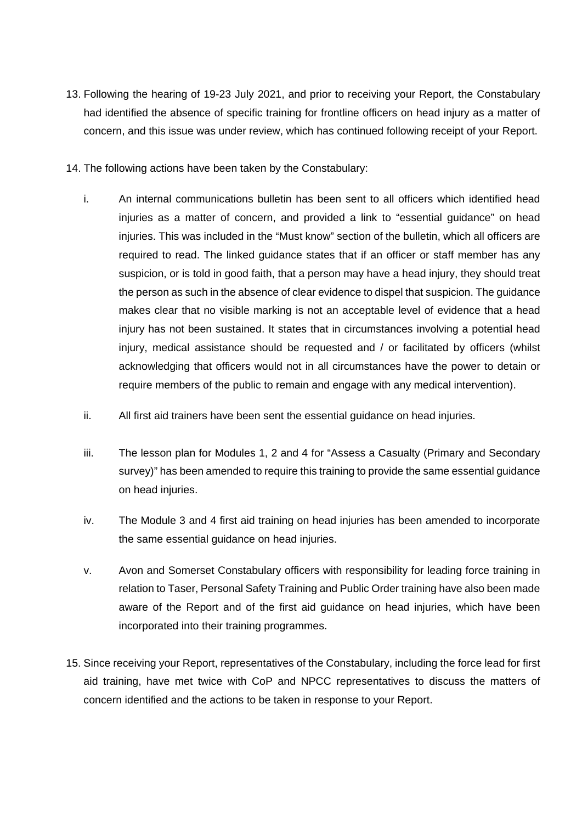- 13. Following the hearing of 19-23 July 2021, and prior to receiving your Report, the Constabulary had identified the absence of specific training for frontline officers on head injury as a matter of concern, and this issue was under review, which has continued following receipt of your Report.
- 14. The following actions have been taken by the Constabulary:
	- i. An internal communications bulletin has been sent to all officers which identified head injuries as a matter of concern, and provided a link to "essential guidance" on head injuries. This was included in the "Must know" section of the bulletin, which all officers are required to read. The linked guidance states that if an officer or staff member has any suspicion, or is told in good faith, that a person may have a head injury, they should treat the person as such in the absence of clear evidence to dispel that suspicion. The guidance makes clear that no visible marking is not an acceptable level of evidence that a head injury has not been sustained. It states that in circumstances involving a potential head injury, medical assistance should be requested and / or facilitated by officers (whilst acknowledging that officers would not in all circumstances have the power to detain or require members of the public to remain and engage with any medical intervention).
	- ii. All first aid trainers have been sent the essential guidance on head injuries.
	- iii. The lesson plan for Modules 1, 2 and 4 for "Assess a Casualty (Primary and Secondary survey)" has been amended to require this training to provide the same essential guidance on head injuries.
	- iv. The Module 3 and 4 first aid training on head injuries has been amended to incorporate the same essential guidance on head injuries.
	- v. Avon and Somerset Constabulary officers with responsibility for leading force training in relation to Taser, Personal Safety Training and Public Order training have also been made aware of the Report and of the first aid guidance on head injuries, which have been incorporated into their training programmes.
- 15. Since receiving your Report, representatives of the Constabulary, including the force lead for first aid training, have met twice with CoP and NPCC representatives to discuss the matters of concern identified and the actions to be taken in response to your Report.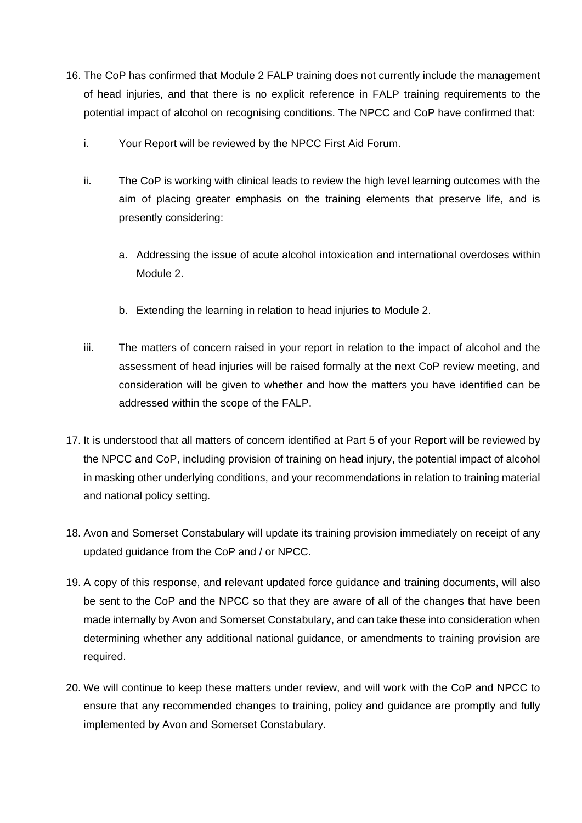- 16. The CoP has confirmed that Module 2 FALP training does not currently include the management of head injuries, and that there is no explicit reference in FALP training requirements to the potential impact of alcohol on recognising conditions. The NPCC and CoP have confirmed that:
	- i. Your Report will be reviewed by the NPCC First Aid Forum.
	- ii. The CoP is working with clinical leads to review the high level learning outcomes with the aim of placing greater emphasis on the training elements that preserve life, and is presently considering:
		- a. Addressing the issue of acute alcohol intoxication and international overdoses within Module 2.
		- b. Extending the learning in relation to head injuries to Module 2.
	- iii. The matters of concern raised in your report in relation to the impact of alcohol and the assessment of head injuries will be raised formally at the next CoP review meeting, and consideration will be given to whether and how the matters you have identified can be addressed within the scope of the FALP.
- 17. It is understood that all matters of concern identified at Part 5 of your Report will be reviewed by the NPCC and CoP, including provision of training on head injury, the potential impact of alcohol in masking other underlying conditions, and your recommendations in relation to training material and national policy setting.
- 18. Avon and Somerset Constabulary will update its training provision immediately on receipt of any updated guidance from the CoP and / or NPCC.
- 19. A copy of this response, and relevant updated force guidance and training documents, will also be sent to the CoP and the NPCC so that they are aware of all of the changes that have been made internally by Avon and Somerset Constabulary, and can take these into consideration when determining whether any additional national guidance, or amendments to training provision are required.
- 20. We will continue to keep these matters under review, and will work with the CoP and NPCC to ensure that any recommended changes to training, policy and guidance are promptly and fully implemented by Avon and Somerset Constabulary.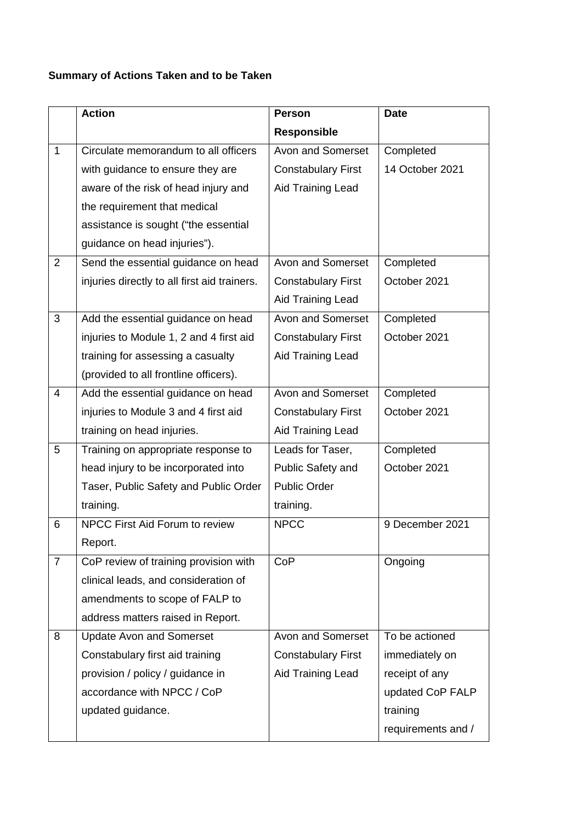# **Summary of Actions Taken and to be Taken**

|                         | <b>Action</b>                                | <b>Person</b>             | <b>Date</b>        |
|-------------------------|----------------------------------------------|---------------------------|--------------------|
|                         |                                              | <b>Responsible</b>        |                    |
| $\mathbf 1$             | Circulate memorandum to all officers         | Avon and Somerset         | Completed          |
|                         | with guidance to ensure they are             | <b>Constabulary First</b> | 14 October 2021    |
|                         | aware of the risk of head injury and         | Aid Training Lead         |                    |
|                         | the requirement that medical                 |                           |                    |
|                         | assistance is sought ("the essential         |                           |                    |
|                         | guidance on head injuries").                 |                           |                    |
| $\overline{2}$          | Send the essential guidance on head          | Avon and Somerset         | Completed          |
|                         | injuries directly to all first aid trainers. | <b>Constabulary First</b> | October 2021       |
|                         |                                              | Aid Training Lead         |                    |
| 3                       | Add the essential guidance on head           | Avon and Somerset         | Completed          |
|                         | injuries to Module 1, 2 and 4 first aid      | <b>Constabulary First</b> | October 2021       |
|                         | training for assessing a casualty            | Aid Training Lead         |                    |
|                         | (provided to all frontline officers).        |                           |                    |
| $\overline{\mathbf{4}}$ | Add the essential guidance on head           | Avon and Somerset         | Completed          |
|                         | injuries to Module 3 and 4 first aid         | <b>Constabulary First</b> | October 2021       |
|                         | training on head injuries.                   | Aid Training Lead         |                    |
| 5                       | Training on appropriate response to          | Leads for Taser,          | Completed          |
|                         | head injury to be incorporated into          | Public Safety and         | October 2021       |
|                         | Taser, Public Safety and Public Order        | <b>Public Order</b>       |                    |
|                         | training.                                    | training.                 |                    |
| 6                       | NPCC First Aid Forum to review               | <b>NPCC</b>               | 9 December 2021    |
|                         | Report.                                      |                           |                    |
| $\overline{7}$          | CoP review of training provision with        | CoP                       | Ongoing            |
|                         | clinical leads, and consideration of         |                           |                    |
|                         | amendments to scope of FALP to               |                           |                    |
|                         | address matters raised in Report.            |                           |                    |
| 8                       | <b>Update Avon and Somerset</b>              | Avon and Somerset         | To be actioned     |
|                         | Constabulary first aid training              | <b>Constabulary First</b> | immediately on     |
|                         | provision / policy / guidance in             | Aid Training Lead         | receipt of any     |
|                         | accordance with NPCC / CoP                   |                           | updated CoP FALP   |
|                         | updated guidance.                            |                           | training           |
|                         |                                              |                           | requirements and / |